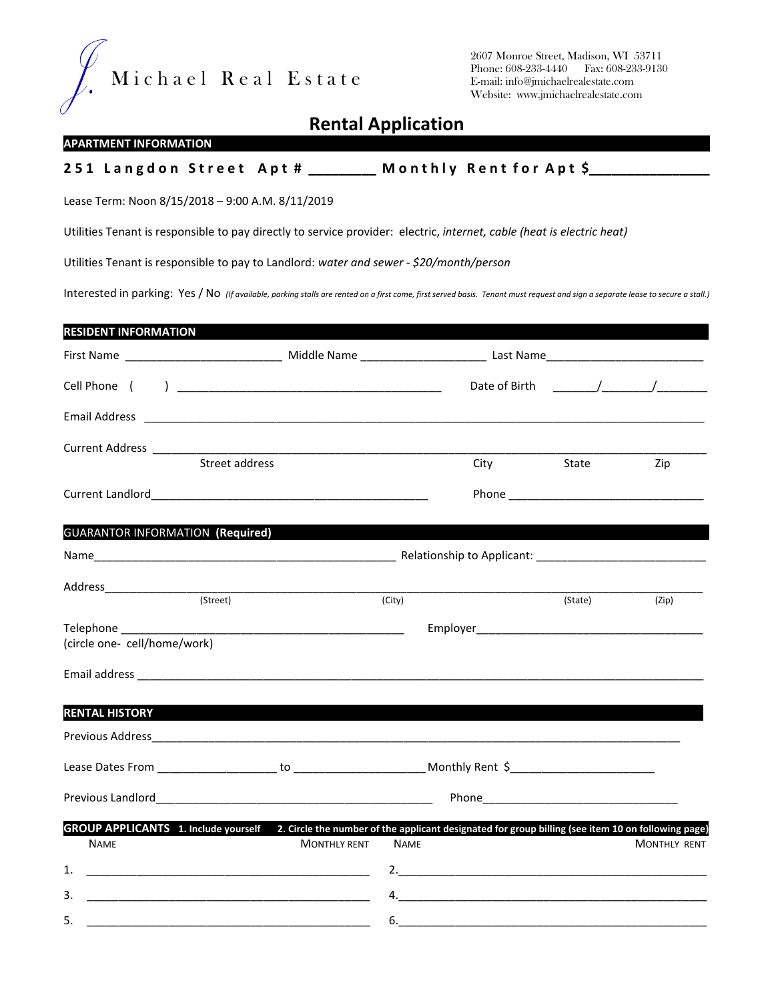

2607 Monroe Street, Madison, WI 53711 Phone: 608-233-4440 Fax: 608-233-9130 E-mail: info@jmichaelrealestate.com Website: www.jmichaelrealestate.com

## Rental Application

## **APARTMENT INFORMATION**

## 251 Langdon Street Apt # \_\_\_\_\_\_\_\_ Monthly Rent for Apt \$\_\_\_

Lease Term: Noon 8/15/2018 – 9:00 A.M. 8/11/2019

Utilities Tenant is responsible to pay directly to service provider: electric, internet, cable (heat is electric heat)

Utilities Tenant is responsible to pay to Landlord: water and sewer - \$20/month/person

Interested in parking: Yes / No (If available, parking stalls are rented on a first come, first served basis. Tenant must request and sign a separate lease to secure a stall.)

| <b>RESIDENT INFORMATION</b>             |                                                                                                                                                                                                                                      |             |         |                                      |  |  |
|-----------------------------------------|--------------------------------------------------------------------------------------------------------------------------------------------------------------------------------------------------------------------------------------|-------------|---------|--------------------------------------|--|--|
|                                         |                                                                                                                                                                                                                                      |             |         |                                      |  |  |
|                                         |                                                                                                                                                                                                                                      |             |         | Date of Birth $\qquad \qquad \qquad$ |  |  |
|                                         |                                                                                                                                                                                                                                      |             |         |                                      |  |  |
|                                         |                                                                                                                                                                                                                                      |             |         |                                      |  |  |
|                                         | Street address                                                                                                                                                                                                                       | City        | State   | Zip                                  |  |  |
|                                         |                                                                                                                                                                                                                                      |             |         |                                      |  |  |
| <b>GUARANTOR INFORMATION (Required)</b> |                                                                                                                                                                                                                                      |             |         |                                      |  |  |
|                                         |                                                                                                                                                                                                                                      |             |         |                                      |  |  |
|                                         | (Street)                                                                                                                                                                                                                             | (City)      | (State) | (Zip)                                |  |  |
|                                         |                                                                                                                                                                                                                                      |             |         |                                      |  |  |
| (circle one- cell/home/work)            |                                                                                                                                                                                                                                      |             |         |                                      |  |  |
|                                         |                                                                                                                                                                                                                                      |             |         |                                      |  |  |
| <b>RENTAL HISTORY</b>                   |                                                                                                                                                                                                                                      |             |         |                                      |  |  |
|                                         |                                                                                                                                                                                                                                      |             |         |                                      |  |  |
|                                         |                                                                                                                                                                                                                                      |             |         |                                      |  |  |
|                                         |                                                                                                                                                                                                                                      |             |         |                                      |  |  |
|                                         | GROUP APPLICANTS 1. Include yourself 2. Circle the number of the applicant designated for group billing (see item 10 on following page)                                                                                              |             |         |                                      |  |  |
| <b>NAME</b>                             | <b>MONTHLY RENT</b>                                                                                                                                                                                                                  | <b>NAME</b> |         | <b>MONTHLY RENT</b>                  |  |  |
| 1.                                      | <u> 1999 - Johann John Harry Harry Harry Harry Harry Harry Harry Harry Harry Harry Harry Harry Harry Harry Harry H</u>                                                                                                               |             |         |                                      |  |  |
| 3.                                      | <u> 1999 - Johann John Harry, mars and de final and de final and design and design and design and design and design and design and design and design and design and design and design and design and design and design and desig</u> |             |         |                                      |  |  |
| 5.                                      |                                                                                                                                                                                                                                      | 6.          |         |                                      |  |  |